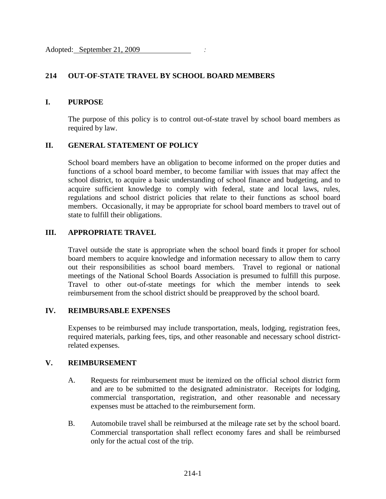# **214 OUT-OF-STATE TRAVEL BY SCHOOL BOARD MEMBERS**

### **I. PURPOSE**

The purpose of this policy is to control out-of-state travel by school board members as required by law.

## **II. GENERAL STATEMENT OF POLICY**

School board members have an obligation to become informed on the proper duties and functions of a school board member, to become familiar with issues that may affect the school district, to acquire a basic understanding of school finance and budgeting, and to acquire sufficient knowledge to comply with federal, state and local laws, rules, regulations and school district policies that relate to their functions as school board members. Occasionally, it may be appropriate for school board members to travel out of state to fulfill their obligations.

## **III. APPROPRIATE TRAVEL**

Travel outside the state is appropriate when the school board finds it proper for school board members to acquire knowledge and information necessary to allow them to carry out their responsibilities as school board members. Travel to regional or national meetings of the National School Boards Association is presumed to fulfill this purpose. Travel to other out-of-state meetings for which the member intends to seek reimbursement from the school district should be preapproved by the school board.

#### **IV. REIMBURSABLE EXPENSES**

Expenses to be reimbursed may include transportation, meals, lodging, registration fees, required materials, parking fees, tips, and other reasonable and necessary school districtrelated expenses.

### **V. REIMBURSEMENT**

- A. Requests for reimbursement must be itemized on the official school district form and are to be submitted to the designated administrator. Receipts for lodging, commercial transportation, registration, and other reasonable and necessary expenses must be attached to the reimbursement form.
- B. Automobile travel shall be reimbursed at the mileage rate set by the school board. Commercial transportation shall reflect economy fares and shall be reimbursed only for the actual cost of the trip.